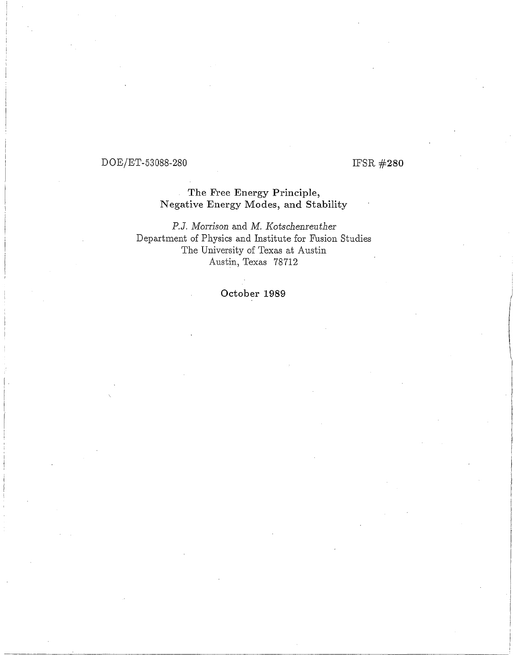# DOE/ET-53088-280

# IFSR #280

## The Free Energy Principle, Negative Energy Modes, and Stability

*P.J. Morrison and M. Kotschenreuther* Department of Physics and Institute for Fusion Studies The University of Texas at Austin Austin, Texas 78712

October **1989**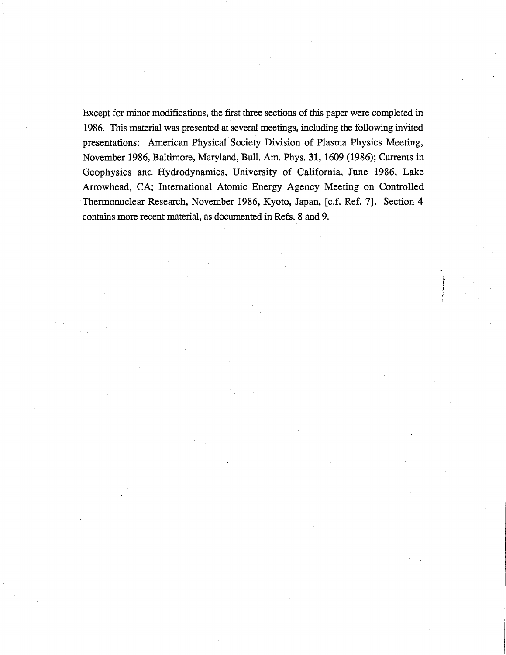Except for minor modifications, the first three sections of this paper were completed in 1986. This material was presented at several meetings, including the following invited presentations: American Physical Society Division of Plasma Physics Meeting, November 1986, Baltimore, Maryland, Bull. Am. Phys. 31, 1609 (1986); Currents in Geophysics and Hydrodynamics, University of California, June 1986, Lake Arrowhead, CA; International Atomic Energy Agency Meeting on Controlled Thermonuclear Research, November 1986, Kyoto, Japan, [c.f. Ref. 7]. Section 4 contains more recent material, as documented in Refs. 8 and 9.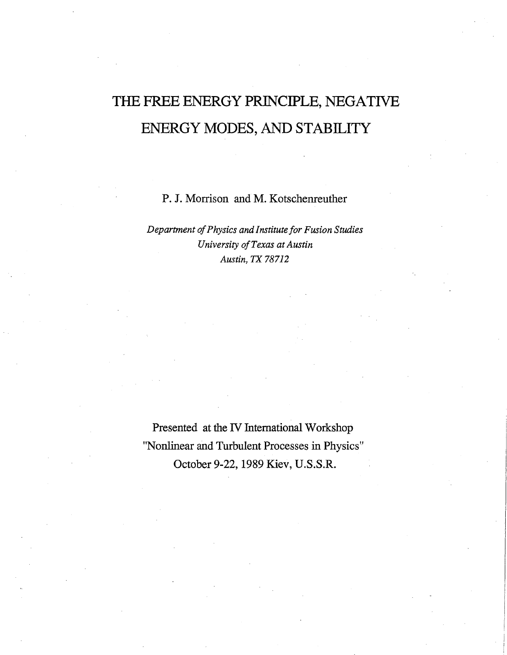# **THE FREE ENERGY PRINCIPLE, NEGATIVE ENERGY MODES, AND STABILITY**

P. J. Morrison and M. Kotschenreuther

*Department of Physics and Institute for Fusion Studies University of Texas at Austin Austin, TX 78712* 

Presented at the IV International Workshop "Nonlinear and Turbulent Processes in Physics" October 9-22, 1989 Kiev, U.S.S.R.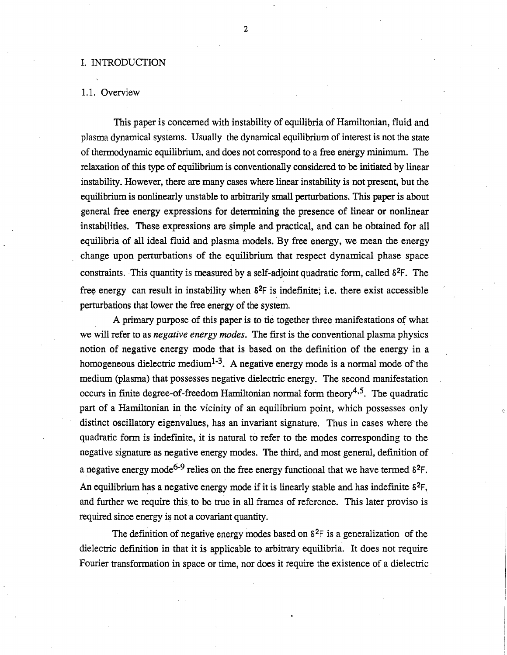## I. INTRODUCTION

## 1.1. Overview

This paper is concerned with instability of equilibria of Hamiltonian, fluid and plasma dynamical systems. Usually the dynamical equilibrium of interest is not the state of thermodynamic equilibrium, and does not correspond to a free energy minimum. The relaxation of this type of equilibrium is conventionally considered to be initiated by linear instability. However, there are many cases where linear instability is not present, but the equilibrium is nonlinearly unstable to arbitrarily small perturbations. This paper is about general free energy expressions for determining the presence of linear or nonlinear instabilities. These expressions are simple and practical, and can be obtained for all equilibria of all ideal fluid and plasma models. By free energy, we mean the energy change upon perturbations of the equilibrium that respect dynamical phase space constraints. This quantity is measured by a self-adjoint quadratic form, called  $\delta^2 F$ . The free energy can result in instability when  $\delta^2F$  is indefinite; i.e. there exist accessible perturbations that lower the free energy of the system.

A primary purpose of this paper is to tie together three manifestations of what we will refer to as *negative energy modes.* The first is the conventional plasma physics notion of negative energy mode that is based on the definition of the energy in a homogeneous dielectric medium<sup>1-3</sup>. A negative energy mode is a normal mode of the medium (plasma) that possesses negative dielectric energy. The second manifestation occurs in finite degree-of-freedom Hamiltonian normal form theory<sup>4,5</sup>. The quadratic part of a Hamiltonian in the vicinity of an equilibrium point, which possesses only distinct oscillatory eigenvalues, has an invariant signature. Thus in cases where the quadratic form is indefinite, it is natural to refer to the modes corresponding to the negative signature as negative energy modes. The third, and most general, definition of a negative energy mode<sup>6-9</sup> relies on the free energy functional that we have termed  $\delta^2 F$ . An equilibrium has a negative energy mode if it is linearly stable and has indefinite  $\delta^2 F$ , and further we require this to be true in all frames of reference. This later proviso is required since energy is not a covariant quantity.

The definition of negative energy modes based on  $\S^2$ F is a generalization of the dielectric definition in that it is applicable to arbitrary equilibria. It does not require Fourier transformation in space or time, nor does it require the existence of a dielectric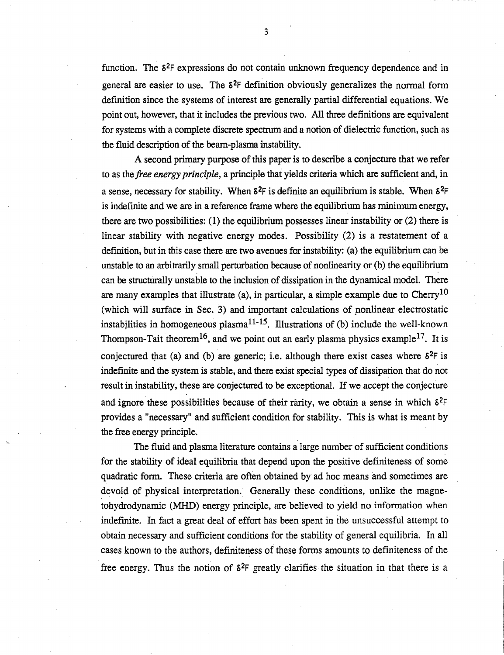function. The S2F expressions do not contain unknown frequency dependence and in general are easier to use. The  $\delta^2$ F definition obviously generalizes the normal form definition since the systems of interest are generally partial differential equations. We point out, however, that it includes the previous two. All three definitions are equivalent for systems with a complete discrete spectrum and a notion of dielectric function, such as the fluid description of the beam-plasma instability.

A second primary purpose of this paper is to describe a conjecture that we refer to as *thefree energy principle,* a principle that yields criteria which are sufficient and, in a sense, necessary for stability. When  $\delta^2$ F is definite an equilibrium is stable. When  $\delta^2$ F is indefinite and we are in a reference frame where the equilibrium has minimum energy, there are two possibilities: (1) the equilibrium possesses linear instability or (2) there is linear stability with negative energy modes. Possibility (2) is a restatement of a definition, but in this case there are two avenues for instability: (a) the equilibrium can be unstable to an arbitrarily small perturbation because of nonlinearity or (b) the equilibrium can be structurally unstable to the inclusion of dissipation in the dynamical model. There are many examples that illustrate (a), in particular, a simple example due to  $Cherry<sup>10</sup>$ (which will surface in Sec. 3) and important calculations of ponlinear electrostatic instabilities in homogeneous plasma<sup>11-15</sup>. Illustrations of (b) include the well-known Thompson-Tait theorem<sup>16</sup>, and we point out an early plasma physics example<sup>17</sup>. It is conjectured that (a) and (b) are generic; i.e. although there exist cases where  $\delta^2$ F is indefinite and the system is stable, and there exist special types of dissipation that do not result in instability, these are conjectured to be exceptional. If we accept the conjecture and ignore these possibilities because of their rarity, we obtain a sense in which  $\delta^2F$ provides a "necessary" and sufficient condition for stability. This is what is meant by the free energy principle.

The fluid and plasma literature contains a large number of sufficient conditions for the stability of ideal equilibria that depend upon the positive definiteness of some quadratic fonu. These criteria are often obtained by ad hoc means and sometimes are devoid of physical interpretation. Generally these conditions, unlike the magnetohydrodynamic (MJID) energy principle, are believed to yield no information when indefinite. In fact a great deal of effort has been spent in the unsuccessful attempt to obtain necessary and sufficient conditions for the stability of general equilibria. In all cases known to the authors, definiteness of these forms amounts to definiteness of the free energy. Thus the notion of  $\delta^2F$  greatly clarifies the situation in that there is a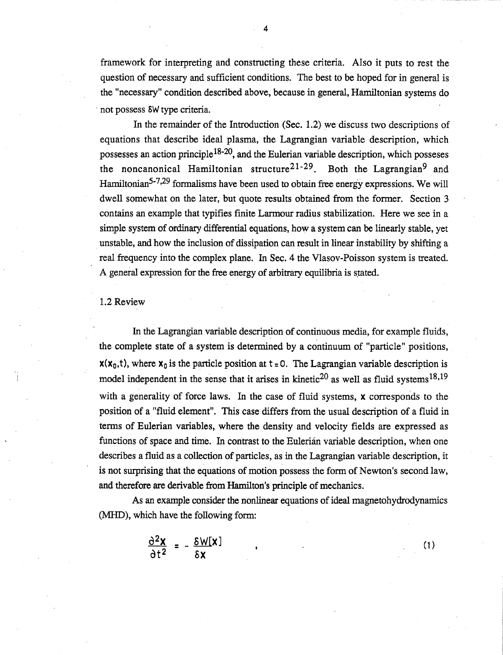framework for interpreting and constructing these criteria. Also it puts to rest the question of necessary and sufficient conditions. The best to be hoped for in general is the "necessary" condition described above, because in general, Hamiltonian systems do not possess SW type criteria.

In the remainder of the Introduction (Sec. 1.2) we discuss two descriptions of equations that describe ideal plasma, the Lagrangian variable description, which possesses an action principle<sup>18-20</sup>, and the Eulerian variable description, which posseses the noncanonical Hamiltonian structure<sup>21-29</sup>. Both the Lagrangian<sup>9</sup> and Hamiltonian<sup>5-7,29</sup> formalisms have been used to obtain free energy expressions. We will dwell somewhat on the later, but quote results obtained from the former. Section 3 contains an example that typifies finite Larmour radius stabilization. Here we see in a simple system of ordinary differential equations, how a system can be linearly stable, yet unstable, and how the inclusion of dissipation can result in linear instability by shifting a real frequency into the complex plane. In Sec. 4 the Vlasov-Poisson system is treated. A general expression for the free energy of arbitrary equilibria is stated.

## 1.2 Review

In the Lagrangian variable description of continuous media, for example fluids, the complete state of a system is determined by a continuum of "particle" positions,  $x(x_0, t)$ , where  $x_0$  is the particle position at  $t = 0$ . The Lagrangian variable description is model independent in the sense that it arises in kinetic<sup>20</sup> as well as fluid systems<sup>18,19</sup> with a generality of force laws. In the case of fluid systems, x corresponds to the position of a "fluid element". This case differs from the usual description of a fluid in terms of Eulerian variables, where the density and velocity fields are expressed as functions of space and time. In contrast to the Eulerian variable description, when one describes a fluid as a collection of particles, as in the Lagrangian variable description, it is not surprising that the equations of motion possess the form of Newton's second law, and therefore are derivable from Hamilton's principle of mechanics.

As an example consider the nonlinear equations of ideal magnetohydrodynamics (MHD), which have the following form:

(1)

$$
\frac{\partial^2 \mathbf{x}}{\partial t^2} = -\frac{\delta W[\mathbf{x}]}{\delta \mathbf{x}} \qquad ,
$$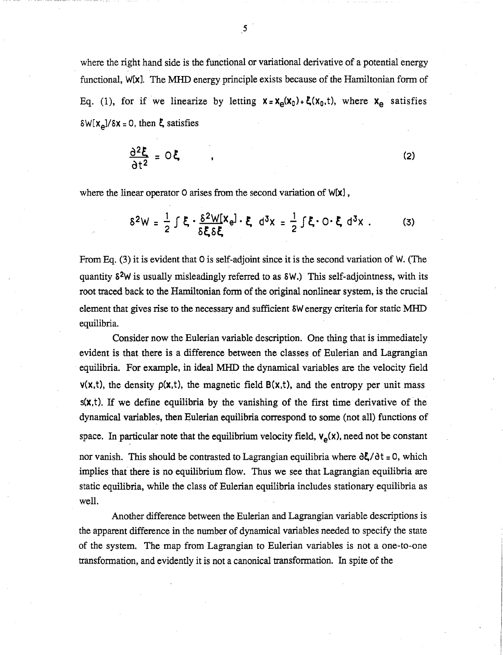where the right hand side is the functional or variational derivative of a potential energy functional, W[x]. The MHD energy principle exists because of the Hamiltonian form of Eq. (1), for if we linearize by letting  $x = x_{\alpha}(x_0) + \xi(x_0,t)$ , where  $x_{\alpha}$  satisfies  $\delta W[x_{\alpha}]/\delta x = 0$ , then  $\xi$  satisfies

$$
\frac{\partial^2 \xi}{\partial t^2} = O\xi \tag{2}
$$

where the linear operator 0 arises from the second variation of  $W[X]$ ,

$$
\delta^2 W = \frac{1}{2} \int \xi \cdot \frac{\delta^2 W[X_e]}{\delta \xi \delta \xi} \cdot \xi \ d^3 x = \frac{1}{2} \int \xi \cdot O \cdot \xi \ d^3 x \ . \tag{3}
$$

From Eq. (3) it is evident that 0 is self-adjoint since it is the second variation of W. (The quantity  $\delta^2$ W is usually misleadingly referred to as  $\delta W$ .) This self-adjointness, with its root traced back to the Hamiltonian form of the original nonlinear system, is the crucial element that gives rise to the necessary and sufficient  $\delta W$  energy criteria for static MHD equilibria.

Consider now the Eulerian variable description. One thing that is immediately evident is that there is a difference between the classes of Eulerian and Lagrangian equilibria. For example, in ideal MHD the dynamical variables are the velocity field  $v(x,t)$ , the density  $p(x,t)$ , the magnetic field  $B(x,t)$ , and the entropy per unit mass s(x,t). If we define equilibria by the vanishing of the first time derivative of the dynamical variables, then Eulerian equilibria correspond to some (not all) functions of space. In particular note that the equilibrium velocity field,  $v_a(x)$ , need not be constant nor vanish. This should be contrasted to Lagrangian equilibria where  $\partial \xi / \partial t = 0$ , which implies that there is no equilibrium flow. Thus we see that Lagrangian equilibria are static equilibria, while the class of Eulerian equilibria includes stationary equilibria as well.

Another difference between the Eulerian and Lagrangian variable descriptions is the apparent difference in the number of dynamical variables needed to specify the state of the system. The map from Lagrangian to Eulerian variables is not a one-to-one transformation, and evidently it is not a canonical transfonnation. In spite of the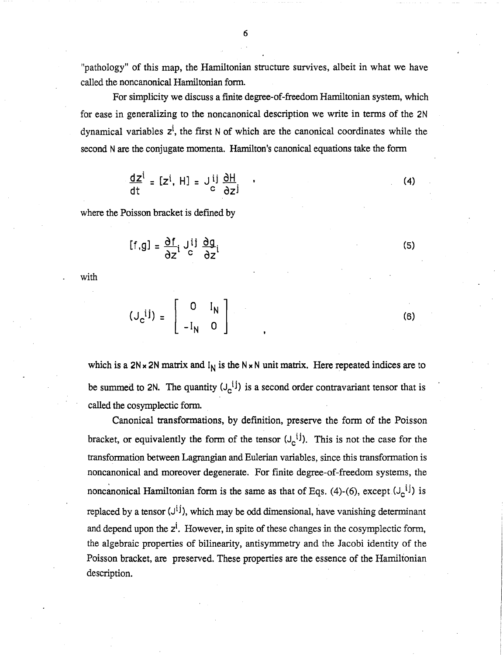6

"pathology" of this map, the Hamiltonian structure survives, albeit in what we have called the noncanonical Hamiltonian form.

For simplicity we *discuss* a finite degree-of-freedom Hamiltonian system, which for ease in generalizing to the noncanonical description we write in terms of the 2N dynamical variables  $z^i$ , the first N of which are the canonical coordinates while the second N are the conjugate momenta. Hamilton's canonical equations take the form

$$
\frac{dz^{i}}{dt} = [z^{i}, H] = J_{c}^{ij} \frac{\partial H}{\partial z^{j}}
$$
 (4)

where the Poisson bracket is defmed by

$$
[f,g] = \frac{\partial f}{\partial z} i \int_c^{i j} \frac{\partial g}{\partial z} i
$$

with

$$
(\mathsf{J}_{\mathsf{c}}^{ij}) = \left[ \begin{array}{cc} 0 & \mathsf{I}_{\mathsf{N}} \\ -\mathsf{I}_{\mathsf{N}} & 0 \end{array} \right]
$$

which is a  $2N \times 2N$  matrix and  $I_N$  is the  $N \times N$  unit matrix. Here repeated indices are to be summed to 2N. The quantity  $(J_c^{i_j})$  is a second order contravariant tensor that is called the cosymplectic form.

Canonical transformations, by definition, preserve the form of the Poisson bracket, or equivalently the form of the tensor  $(J_c^{ij})$ . This is not the case for the transformation between Lagrangian and Eulerian variables, since this transformation is noncanonical and moreover degenerate. For finite degree-of-freedom systems, the noncanonical Hamiltonian form is the same as that of Eqs. (4)-(6), except  $(J_c^{ij})$  is replaced by a tensor  $(J^{ij})$ , which may be odd dimensional, have vanishing determinant and depend upon the  $z^i$ . However, in spite of these changes in the cosymplectic form, the algebraic properties of bilinearity, antisymmetry and the Jacobi identity of the Poisson bracket, are preserved. These properties are the essence of the Hamiltonian description.

(6)

(5)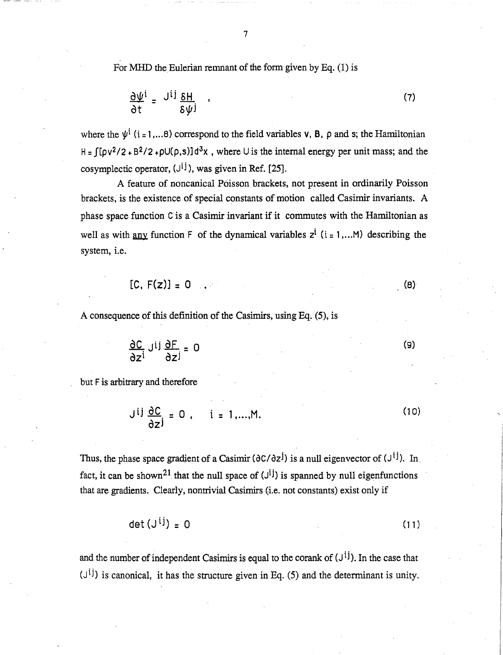For MHD the Eulerian remnant of the form given by Eq.  $(1)$  is

$$
\frac{\partial \Psi^i}{\partial t} = \frac{J^{ij} \delta H}{\delta \Psi^j} \qquad (7)
$$

where the  $\psi^i$  (i = 1,... 8) correspond to the field variables v, B, p and s; the Hamiltonian  $H = \int [pv^2/2 + B^2/2 + \rho U(\rho, s)]d^3x$ , where U is the internal energy per unit mass; and the cosymplectic operator,  $(J^{ij})$ , was given in Ref. [25].

A feature of noncanical Poisson brackets, not present in ordinarily Poisson brackets, is the existence of special constants of motion called Casimir invariants. A phase space function C is a Casimir invariant if it commutes with the Hamiltonian as well as with any function F of the dynamical variables  $z^i$  (i = 1,... M) describing the system, i.e.

$$
[C, F(z)] = 0 \tag{8}
$$

A consequence of this definition of the Casimirs, using Eq. (5), is

$$
\frac{\partial C}{\partial z^i} J^{ij} \frac{\partial F}{\partial z^j} = 0
$$
 (9)

but F is arbitrary and therefore

$$
J^{ij} \frac{\partial C}{\partial z^j} = 0, \quad i = 1,...,M.
$$
 (10)

Thus, the phase space gradient of a Casimir  $(\partial C/\partial z^{j})$  is a null eigenvector of  $(\mathcal{J}^{i j})$ . In. fact, it can be shown<sup>21</sup> that the null space of  $(J<sup>i</sup>)$  is spanned by null eigenfunctions that are gradients. Clearly, nontrivial Casimirs (i.e. not constants) exist only if

$$
\det\left(\mathbf{J}^{1}\mathbf{I}\right) = 0\tag{11}
$$

and the number of independent Casimirs is equal to the corank of  $(J<sup>i</sup>)$ . In the case that  $(J<sup>ij</sup>)$  is canonical, it has the structure given in Eq. (5) and the determinant is unity.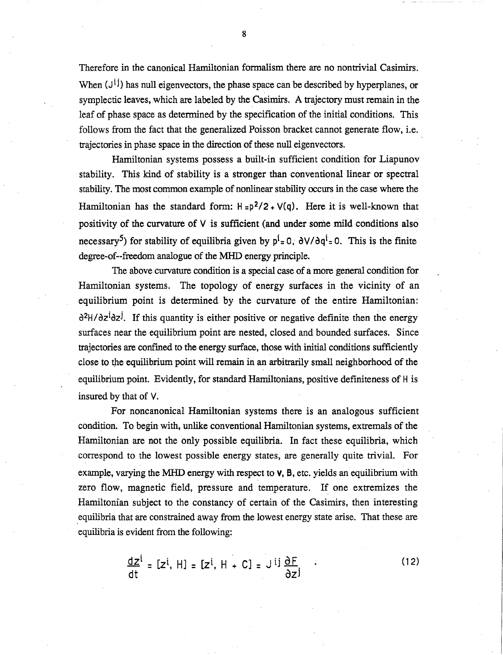Therefore in the canonical Hamiltonian fonnalism there are no nontrivial Casimirs. When  $(J<sup>i</sup>)$  has null eigenvectors, the phase space can be described by hyperplanes, or symplectic leaves, which are labeled by the Casimirs. A trajectory must remain in the leaf of phase space as determined by the specification of the initial conditions. This follows from the fact that the generalized Poisson bracket cannot generate flow, i.e. trajectories in phase space in the direction of these null eigenvectors.

Hamiltonian systems possess a built-in sufficient condition for Liapunov stability. This kind of stability is a stronger than conventional linear or spectral stability. The most common example of nonlinear stability occurs in the case where the Hamiltonian has the standard form:  $H = p^2/2 + V(q)$ . Here it is well-known that positivity of the curvature of V is sufficient (and under some mild conditions also necessary<sup>5</sup>) for stability of equilibria given by  $p^i = 0$ ,  $\frac{\partial V}{\partial q^i} = 0$ . This is the finite degree-of--freedom analogue of the MHD energy principle.

The above curvature condition is a special case of a more general condition for Hamiltonian systems. The topology of energy surfaces in the vicinity of an equilibrium point is determined by the curvature of the entire Hamiltonian: d<sup>2</sup>H/dz<sup>i</sup>dz<sup>j</sup>. If this quantity is either positive or negative definite then the energy surfaces near the equilibrium point are nested, closed and bounded surfaces. Since trajectories are confmed to the energy surface, those with initial conditions sufficiently close to the equilibrium point will remain in an arbitrarily small neighborhood of the equilibrium point. Evidently, for standard Hamiltonians, positive definiteness of H is insured by that of V.

For noncanonical Hamiltonian systems there is an analogous sufficient condition. To begin with, unlike conventional Hamiltonian systems, extremals of the Hamiltonian are not the only possible equilibria. In fact these equilibria, which correspond to the lowest possible energy states, are generally quite trivial. For example, varying the MHD energy with respect to  $\mathbf{v}$ ,  $\mathbf{B}$ , etc. yields an equilibrium with zero flow, magnetic field, pressure and temperature. If one extremizes the Hamiltonian subject to the constancy of certain of the Casimirs, then interesting .equilibria that are constrained away from the lowest energy state arise. That these are equilibria is evident from the following:

$$
\frac{dz^{i}}{dt} = [z^{i}, H] = [z^{i}, H + C] = J^{ij} \frac{\partial F}{\partial z^{j}}
$$
 (12)

8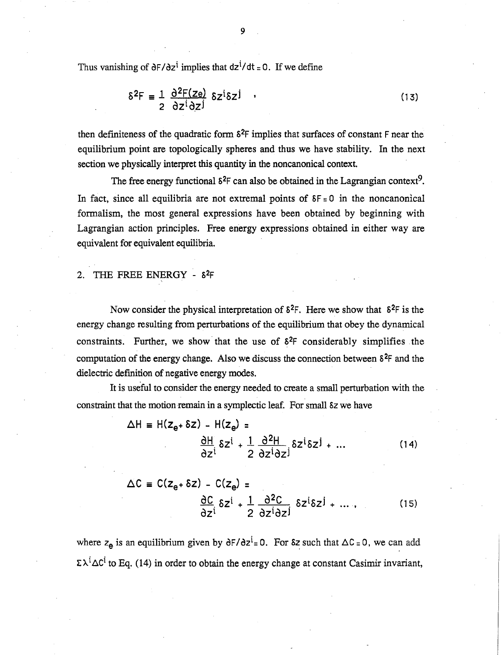Thus vanishing of  $\partial F/\partial z^i$  implies that  $dz^i/dt = 0$ . If we define

$$
\delta^2 F = \frac{1}{2} \frac{\partial^2 F(ze)}{\partial z^i \partial z^j} \delta z^i \delta z^j \qquad (13)
$$

then definiteness of the quadratic form  $\delta^2F$  implies that surfaces of constant F near the equilibrium point are topologically spheres and thus we have stability. In the next section we physically interpret this quantity in the noncanonical context.

The free energy functional  $\delta^2F$  can also be obtained in the Lagrangian context<sup>9</sup>. In fact, since all equilibria are not extremal points of  $\delta F = 0$  in the noncanonical formalism, the most general expressions have been obtained by beginning with Lagrangian action principles. Free energy expressions obtained in either way are equivalent for equivalent equilibria.

## 2. THE FREE ENERGY -  $\delta^2F$

Now consider the physical interpretation of  $\delta^2$ F. Here we show that  $\delta^2$ F is the energy change resulting from perturbations of the equilibrium that obey the dynamical constraints. Further, we show that the use of  $\delta^2F$  considerably simplifies the computation of the energy change. Also we discuss the connection between  $\delta^2F$  and the dielectric definition of negative energy modes.

It is useful to consider the energy needed to create a small perturbation with the constraint that the motion remain in a symplectic leaf. For small sz we have

$$
\Delta H = H(z_{e^+} \delta z) - H(z_{e}) =
$$
  

$$
\frac{\partial H}{\partial z^i} \delta z^i + \frac{1}{2} \frac{\partial^2 H}{\partial z^i \partial z^j} \delta z^i \delta z^j + ...
$$
 (14)

$$
\Delta C = C(z_{e} + \delta z) - C(z_{e}) =
$$
  

$$
\frac{\partial C}{\partial z^{i}} \delta z^{i} + \frac{1}{2} \frac{\partial^{2} C}{\partial z^{i} \partial z^{j}} \delta z^{i} \delta z^{j} + ... ,
$$
 (15)

where  $z_e$  is an equilibrium given by  $\frac{\partial F}{\partial z} = 0$ . For  $\delta z$  such that  $\Delta C = 0$ , we can add  $\sum \lambda^i \Delta C^i$  to Eq. (14) in order to obtain the energy change at constant Casimir invariant,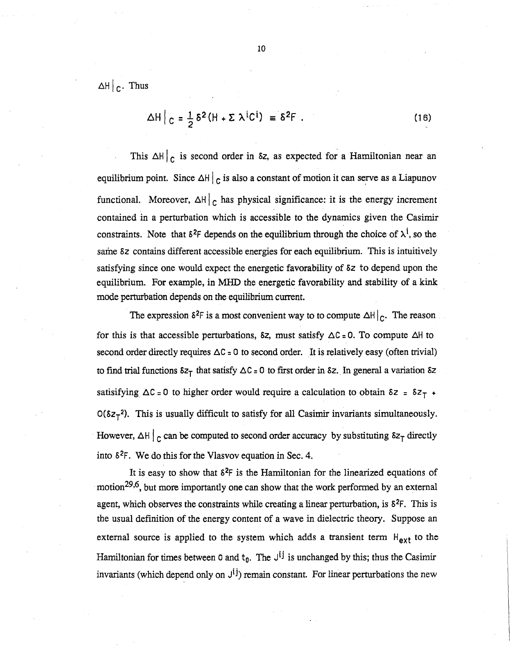$\Delta H$   $\Big|_C$ . Thus

$$
\Delta H \Big|_{C} = \frac{1}{2} \delta^2 (H + \Sigma \lambda^i C^i) = \delta^2 F . \qquad (16)
$$

This  $\Delta H$  <sub>c</sub> is second order in  $\delta z$ , as expected for a Hamiltonian near an equilibrium point. Since  $\Delta H \vert_C$  is also a constant of motion it can serve as a Liapunov functional. Moreover,  $\Delta H$ <sub>c</sub> has physical significance: it is the energy increment contained in a perturbation which is accessible to the dynamics given the Casimir constraints. Note that  $\delta^2$ F depends on the equilibrium through the choice of  $\lambda^i$ , so the same 5z contains different accessible energies for each equilibrium. This is intuitively satisfying since one would expect the energetic favorability of 5z to depend upon the equilibrium. For example, in MHD the energetic favorability and stability of a kink mode perturbation depends on the equilibrium current.

The expression  $\delta^2F$  is a most convenient way to to compute  $\Delta H \vert_C$ . The reason for this is that accessible perturbations,  $\delta z$ , must satisfy  $\Delta C = 0$ . To compute  $\Delta H$  to second order directly requires  $\Delta C = 0$  to second order. It is relatively easy (often trivial) to find trial functions  $\delta z_T$  that satisfy  $\Delta C = 0$  to first order in  $\delta z$ . In general a variation  $\delta z$ satisifying  $\Delta C = 0$  to higher order would require a calculation to obtain  $\delta z = \delta z_T$  +  $O(\delta z_T^2)$ . This is usually difficult to satisfy for all Casimir invariants simultaneously. However,  $\Delta H \vert_C$  can be computed to second order accuracy by substituting  $\delta z_T$  directly into  $\delta^2$ F. We do this for the Vlasvov equation in Sec. 4.

It is easy to show that  $\delta^2F$  is the Hamiltonian for the linearized equations of motion29,6, but more importantly one can show that the work performed by an external agent, which observes the constraints while creating a linear perturbation, is  $\delta^2 F$ . This is the usual definition of the energy content of a wave in dielectric theory. Suppose an external source is applied to the system which adds a transient term  $H_{ext}$  to the Hamiltonian for times between 0 and  $t_0$ . The  $J^{ij}$  is unchanged by this; thus the Casimir invariants (which depend only on  $J^{(j)}$ ) remain constant. For linear perturbations the new

10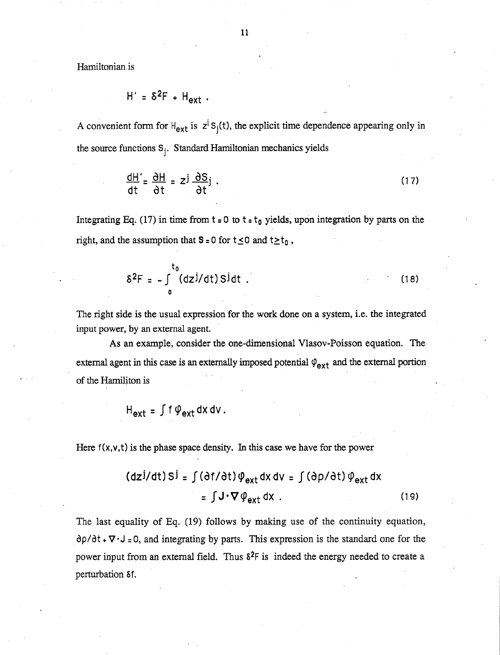Hamiltonian is

$$
H' = \delta^2 F + H_{ext}.
$$

A convenient form for  $H_{ext}$  is  $z^i S_i(t)$ , the explicit time dependence appearing only in the source functions  $S_i$ . Standard Hamiltonian mechanics yields

$$
\frac{dH'}{dt} = \frac{\partial H}{\partial t} = z^{\frac{1}{2}} \frac{\partial S}{\partial t}.
$$
 (17)

Integrating Eq. (17) in time from  $t = 0$  to  $t = t_0$  yields, upon integration by parts on the right, and the assumption that  $S = 0$  for  $t \le 0$  and  $t \ge t_0$ ,

$$
\delta^2 F = - \int_0^{t_0} (dz^j/dt) S^j dt
$$
 (18)

The right side is the usual expression for the work done on a system, i.e. the integrated input power, by an external agent.

As an example, consider the one-dimensional Vlasov-Poisson equation. The external agent in this case is an externally imposed potential  $\varphi_{ext}$  and the external portion of the Hamiliton is

$$
H_{ext} = \int f \varphi_{ext} dx dv
$$
.

Here  $f(x, y, t)$  is the phase space density. In this case we have for the power

$$
(\text{dz}^{j}/\text{dt}) \, \text{S}^{j} = \int (\text{d}^{j}/\text{dt}) \, \phi_{\text{ext}} \, \text{d}x \, \text{d}v = \int (\text{d}^{j}/\text{dt}) \, \phi_{\text{ext}} \, \text{d}x
$$
\n
$$
= \int J \cdot \nabla \, \phi_{\text{ext}} \, \text{d}x \, .
$$

The last equality of Eq. (19) follows by making use of the continuity equation,  $\partial \rho / \partial t$  +  $\nabla \cdot J$  = 0, and integrating by parts. This expression is the standard one for the power input from an external field. Thus  $\delta^2$ F is indeed the energy needed to create a perturbation Sf.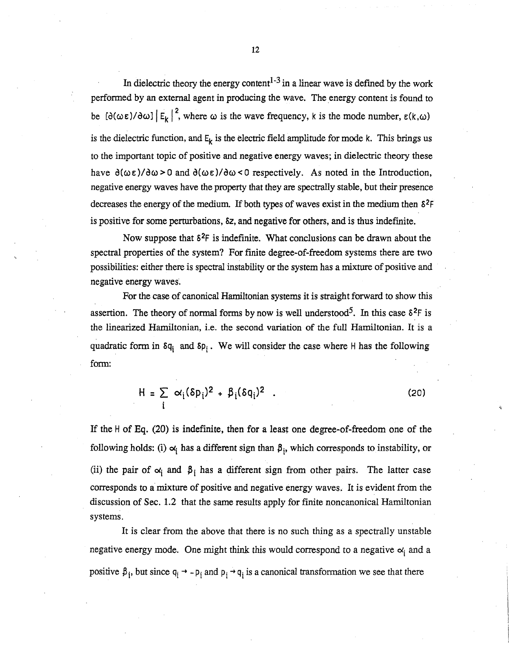In dielectric theory the energy content<sup>1-3</sup> in a linear wave is defined by the work perfonned by an external agent in producing the wave. The energy content is found to be  $[\partial(\omega \varepsilon)/\partial \omega] |E_k|^2$ , where  $\omega$  is the wave frequency, k is the mode number,  $\varepsilon(k,\omega)$ is the dielectric function, and  $E_k$  is the electric field amplitude for mode k. This brings us to the important topic of positive and negative energy waves; in dielectric theory these have  $\partial(\omega \varepsilon)/\partial \omega > 0$  and  $\partial(\omega \varepsilon)/\partial \omega < 0$  respectively. As noted in the Introduction, negative energy waves have the property that they are spectrally stable, but their presence decreases the energy of the medium. If both types of waves exist in the medium then  $\delta^2 F$ is positive for some perturbations, S2, and negative for others, and is thus indefmite.

Now suppose that  $\delta^2$ F is indefinite. What conclusions can be drawn about the spectral properties of the system? For finite degree-of-freedom systems there are two possibilities: either there is spectral instability or the system has a mixture of positive and negative energy waves.

For the case of canonical Hamiltonian systems it is straight forward to show *this*  assertion. The theory of normal forms by now is well understood<sup>5</sup>. In this case  $\delta^2F$  is the linearized Hamiltonian, i.e. the second variation of the full Hamiltonian. It is a quadratic form in  $\delta q_i$  and  $\delta p_i$ . We will consider the case where H has the following form:

$$
H = \sum_{i} \alpha_i (\delta p_i)^2 + \beta_i (\delta q_i)^2
$$
 (20)

If the H of Eq. (20) is indefinite, then for a least one degree-of-freedom one of the following holds: (i)  $\alpha_i$  has a different sign than  $\beta_i$ , which corresponds to instability, or (ii) the pair of  $\alpha_i$  and  $\beta_i$  has a different sign from other pairs. The latter case corresponds to a mixture of positive and negative energy waves. It is evident from the discussion of Sec. 1.2 that the same results apply for finite noncanonical Hamiltonian systems.

It is clear from the above that there is no such thing as a spectrally unstable negative energy mode. One might think this would correspond to a negative  $\alpha_i$  and a positive  $\beta_i$ , but since  $q_i \rightarrow -p_i$  and  $p_i \rightarrow q_i$  is a canonical transformation we see that there

12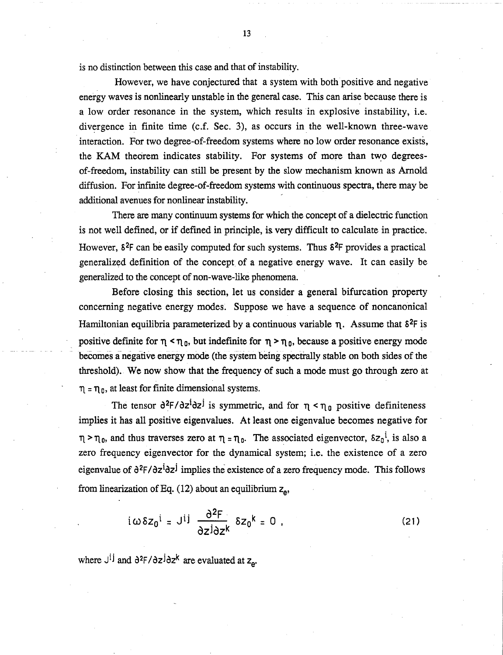is no distinction between this case and that of instability.

However, we have conjectured that a system with both positive and negative energy waves is nonlinearly unstable in the general case. This can arise because there is a low order resonance in the system, which results in explosive instability, i.e. divergence in finite time (c.f. Sec. 3), as occurs in the well-known three-wave interaction. For two degree-of-freedom systems where no low order resonance exists, the KAM theorem indicates stability. For systems of more than two degreesof-freedom, instability can still be present by the slow mechanism known as Arnold diffusion. For infmite degree-of-freedom systems with continuous spectra, there may be additional avenues for nonlinear instability.

There are many continuum systems for which the concept of a dielectric function is not well defined, or if defined in principle, is very difficult to calculate in practice. However,  $\delta^2$ F can be easily computed for such systems. Thus  $\delta^2$ F provides a practical generalized definition of the concept of a negative energy wave. It can easily be generalized to the concept of non-wave-like phenomena.

Before closing this section, let us consider a general bifurcation property concerning negative energy modes. Suppose we have a sequence of noncanonical Hamiltonian equilibria parameterized by a continuous variable  $\eta$ . Assume that  $\delta^2F$  is positive definite for  $\eta \leq \eta_0$ , but indefinite for  $\eta \geq \eta_0$ , because a positive energy mode becomes a negative energy mode (the system being spectrally stable on both sides of the threshold). We now show that the frequency of such a mode must go through zero at  $\eta = \eta_0$ , at least for finite dimensional systems.

The tensor  $\frac{\partial^2 F}{\partial z^i}$  is symmetric, and for  $\eta < \eta_0$  positive definiteness implies it has all positive eigenvalues. At least one eigenvalue becomes negative for  $\eta$  >  $\eta_0$ , and thus traverses zero at  $\eta = \eta_0$ . The associated eigenvector,  $\delta z_0^i$ , is also a zero frequency eigenvector for the dynamical system; i.e. the existence of a zero eigenvalue of  $\partial^2 F / \partial z^{\dot{1}} \partial z^{\dot{1}}$  implies the existence of a zero frequency mode. This follows from linearization of Eq. (12) about an equilibrium  $z_{\rm e}$ ,

$$
i\omega\delta z_0^i = J^{ij} \frac{\partial^2 F}{\partial z^j \partial z^k} \delta z_0^k = 0
$$
 (21)

where  $J^{ij}$  and  $\partial^2 F / \partial z^j \partial z^k$  are evaluated at  $z_{\alpha}$ .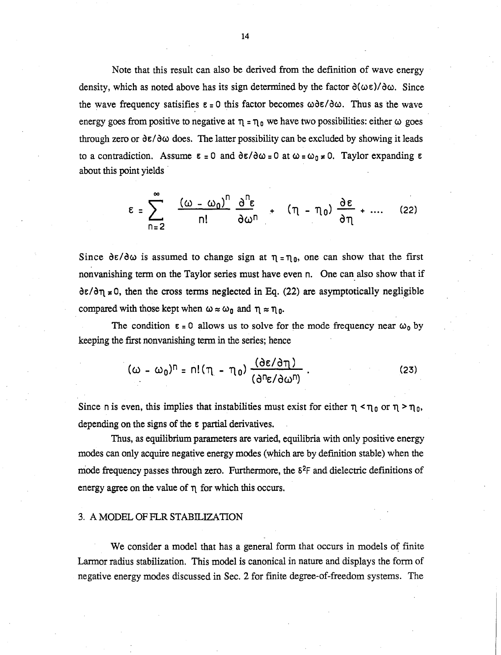Note that this result can also be derived from the definition of wave energy density, which as noted above has its sign determined by the factor  $\partial(\omega \epsilon)/\partial \omega$ . Since the wave frequency satisifies  $\epsilon = 0$  this factor becomes  $\omega \delta \epsilon / \delta \omega$ . Thus as the wave energy goes from positive to negative at  $\eta = \eta_0$  we have two possibilities: either  $\omega$  goes through zero or  $\partial \varepsilon / \partial \omega$  does. The latter possibility can be excluded by showing it leads to a contradiction. Assume  $\epsilon = 0$  and  $\frac{\partial \epsilon}{\partial \omega} = 0$  at  $\omega = \omega_0 \neq 0$ . Taylor expanding  $\epsilon$ about this point yields .

$$
\varepsilon = \sum_{n=2}^{\infty} \frac{(\omega - \omega_0)^n}{n!} \frac{\partial^n \varepsilon}{\partial \omega^n} + (\eta - \eta_0) \frac{\partial \varepsilon}{\partial \eta} + .... \quad (22)
$$

Since  $\partial \varepsilon / \partial \omega$  is assumed to change sign at  $\eta = \eta_0$ , one can show that the first nonvanishing term on the Taylor series must have even n. One can also show that if  $\frac{\partial \varepsilon}{\partial \eta}$   $\neq$  0, then the cross terms neglected in Eq. (22) are asymptotically negligible compared with those kept when  $\omega \approx \omega_0$  and  $\eta \approx \eta_0$ .

The condition  $\epsilon = 0$  allows us to solve for the mode frequency near  $\omega_0$  by keeping the first nonvanishing term in the series; hence

$$
(\omega - \omega_0)^n = n! (\eta - \eta_0) \frac{(\partial \varepsilon / \partial \eta)}{(\partial^n \varepsilon / \partial \omega^n)}.
$$
 (23)

Since n is even, this implies that instabilities must exist for either  $\eta < \eta_0$  or  $\eta > \eta_0$ , depending on the signs of the  $\varepsilon$  partial derivatives.

Thus, as equilibrium parameters are varied, equilibria with only positive energy modes can only acquire negative energy modes (which are by defmition stable) when the mode frequency passes through zero. Furthermore, the  $\delta^2$ F and dielectric definitions of energy agree on the value of  $\eta$  for which this occurs.

## 3. A MODEL OF FLR STABILIZATION

We consider a model that has a general form that occurs in models of finite Larmor radius stabilization. This model is canonical in nature and displays the form of negative energy modes discussed in Sec. 2 for finite degree-of-freedom systems. The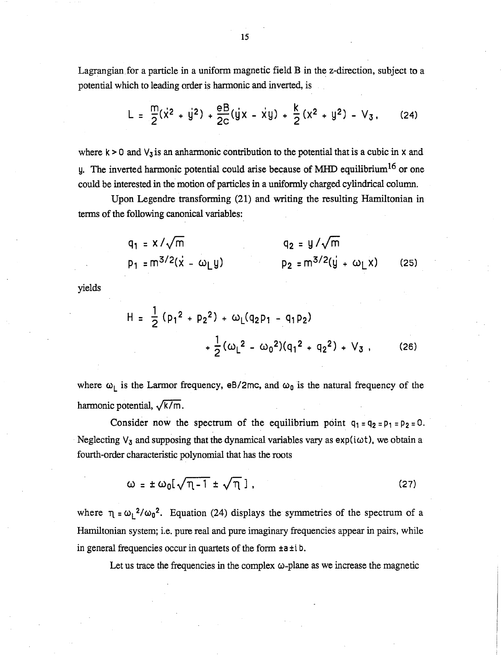Lagrangian for a particle in a uniform magnetic field  $B$  in the z-direction, subject to a potential which to leading order is harmonic and inverted, is

$$
L = \frac{m}{2}(\dot{x}^2 + \dot{y}^2) + \frac{eB}{2c}(\dot{y}x - \dot{x}y) + \frac{k}{2}(x^2 + y^2) - V_3.
$$
 (24)

where  $k > 0$  and  $V_3$  is an anharmonic contribution to the potential that is a cubic in x and y. The inverted harmonic potential could arise because of MHD equilibrium16 or one could be interested in the motion of particles in a uniformly charged cylindrical column.

Upon Legendre transforming (21) and writing the resulting Hamiltonian in terms of the following canonical variables:

$$
q_1 = x/\sqrt{m}
$$
  
\n $q_2 = y/\sqrt{m}$   
\n $q_2 = \frac{y}{\sqrt{m}}$   
\n $q_2 = \frac{y}{\sqrt{m}}$  (25)

yields

$$
H = \frac{1}{2} (p_1^2 + p_2^2) + \omega_L (q_2 p_1 - q_1 p_2)
$$
  
+  $\frac{1}{2} (\omega_L^2 - \omega_0^2) (q_1^2 + q_2^2) + V_3$ , (26)

where  $\omega_L$  is the Larmor frequency, eB/2mc, and  $\omega_0$  is the natural frequency of the harmonic potential,  $\sqrt{k/m}$ .

Consider now the spectrum of the equilibrium point  $q_1 = q_2 = p_1 = p_2 = 0$ . Neglecting  $V_3$  and supposing that the dynamical variables vary as  $exp(i\omega t)$ , we obtain a fourth-order characteristic polynomial that has the roots

> $\omega = \pm \omega_0 [\sqrt{\eta - 1} \pm \sqrt{\eta} ]$ , (27)

where  $\eta = \omega_1^2 / \omega_0^2$ . Equation (24) displays the symmetries of the spectrum of a Hamiltonian system; i.e. pure real and pure imaginary frequencies appear in pairs, while in general frequencies occur in quartets of the form ±a ±i b.

Let us trace the frequencies in the complex  $\omega$ -plane as we increase the magnetic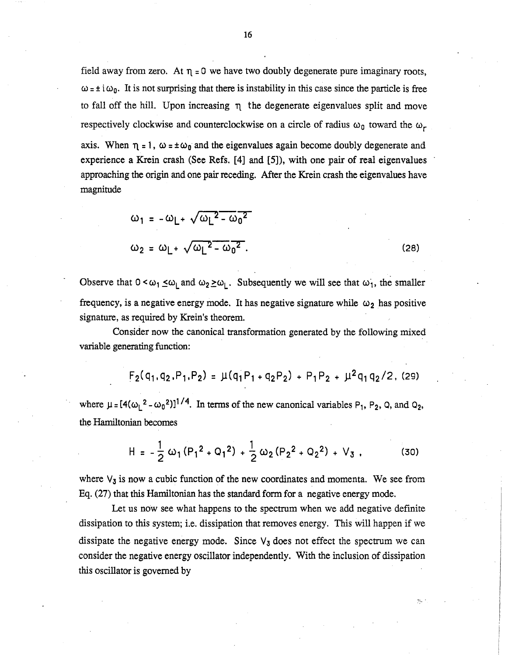field away from zero. At  $\eta = 0$  we have two doubly degenerate pure imaginary roots,  $\omega = \pm i \omega_0$ . It is not surprising that there is instability in this case since the particle is free to fall off the hill. Upon increasing  $\pi$  the degenerate eigenvalues split and move respectively clockwise and counterclockwise on a circle of radius  $\omega_0$  toward the  $\omega_r$ 

axis. When  $\eta = 1$ ,  $\omega = \pm \omega_0$  and the eigenvalues again become doubly degenerate and experience a Krein crash (See Refs. [4] and [5]), with one pair of real eigenvalues approaching the origin and one pair receding. After the Krein crash the eigenvalues have magnitude

$$
\omega_1 = -\omega_L + \sqrt{\omega_L^2 - \omega_0^2}
$$
  

$$
\omega_2 = \omega_L + \sqrt{\omega_L^2 - \omega_0^2}.
$$
 (28)

Observe that  $0 < \omega_1 \leq \omega_L$  and  $\omega_2 \geq \omega_L$ . Subsequently we will see that  $\omega_1$ , the smaller frequency, is a negative energy mode. It has negative signature while  $\omega_2$  has positive signature, as required by Krein's theorem.

Consider now the canonical transformation generated by the following mixed variable generating function:

$$
F_2(q_1, q_2, P_1, P_2) = \mu(q_1 P_1 + q_2 P_2) + P_1 P_2 + \mu^2 q_1 q_2 / 2
$$
 (29)

where  $\mu = [4(\omega_L^2 - \omega_0^2)]^{1/4}$ . In terms of the new canonical variables P<sub>1</sub>, P<sub>2</sub>, Q, and Q<sub>2</sub>, the Hamiltonian becomes

$$
H = -\frac{1}{2} \omega_1 (P_1^2 + Q_1^2) + \frac{1}{2} \omega_2 (P_2^2 + Q_2^2) + V_3.
$$
 (30)

where  $V_3$  is now a cubic function of the new coordinates and momenta. We see from Eq. (27) that this Hamiltonian has the standard form for a negative energy mode.

Let us now see what happens to the spectrum when we add negative definite dissipation to this system; i.e. dissipation that removes energy. This will happen if we dissipate the negative energy mode. Since  $V_3$  does not effect the spectrum we can consider the negative energy oscillator independently. With the inclusion of dissipation this oscillator is governed by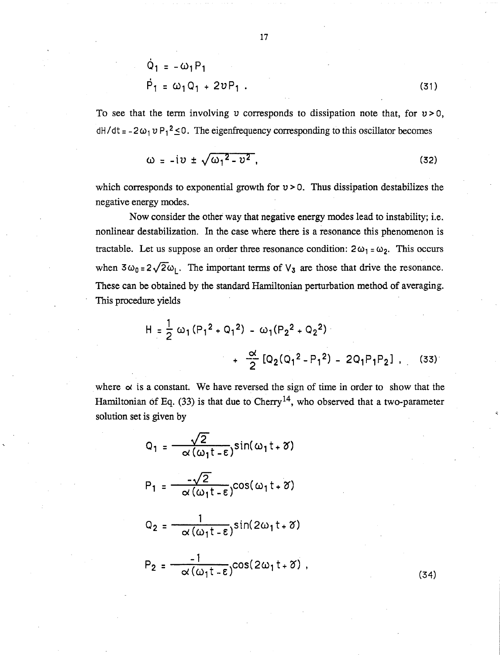$$
\dot{Q}_1 = -\omega_1 P_1
$$
\n
$$
\dot{P}_1 = \omega_1 Q_1 + 2v P_1 .
$$
\n(31)

To see that the term involving v corresponds to dissipation note that, for  $v > 0$ ,  $dH/dt = -2\omega_1 v P_1^2 \leq 0$ . The eigenfrequency corresponding to this oscillator becomes

$$
\omega = -iv \pm \sqrt{\omega_1^2 - v^2}, \qquad (32)
$$

which corresponds to exponential growth for  $v > 0$ . Thus dissipation destabilizes the negative energy modes.

Now consider the other way that negative energy modes lead to instability; i.e. nonlinear destabilization. In the case where there is a resonance this phenomenon is tractable. Let us suppose an order three resonance condition:  $2\omega_1 = \omega_2$ . This occurs when  $3\omega_0 = 2\sqrt{2}\omega_1$ . The important terms of  $V_3$  are those that drive the resonance. These can be obtained by the standard Hamiltonian perturbation method of averaging. This procedure yields

$$
H = \frac{1}{2} \omega_1 (P_1^2 + Q_1^2) - \omega_1 (P_2^2 + Q_2^2)
$$
  
+ 
$$
\frac{\alpha}{2} [Q_2 (Q_1^2 - P_1^2) - 2Q_1 P_1 P_2], \quad (33)
$$

where  $\alpha$  is a constant. We have reversed the sign of time in order to show that the Hamiltonian of Eq. (33) is that due to Cherry<sup>14</sup>, who observed that a two-parameter solution set is given by

$$
Q_1 = \frac{\sqrt{2}}{\alpha(\omega_1 t - \epsilon)} \sin(\omega_1 t + \delta)
$$
  
\n
$$
P_1 = \frac{-\sqrt{2}}{\alpha(\omega_1 t - \epsilon)} \cos(\omega_1 t + \delta)
$$
  
\n
$$
Q_2 = \frac{1}{\alpha(\omega_1 t - \epsilon)} \sin(2\omega_1 t + \delta)
$$

$$
P_2 = \frac{-1}{\alpha(\omega_1 t - \epsilon)} \cos(2\omega_1 t + \delta) , \qquad (34)
$$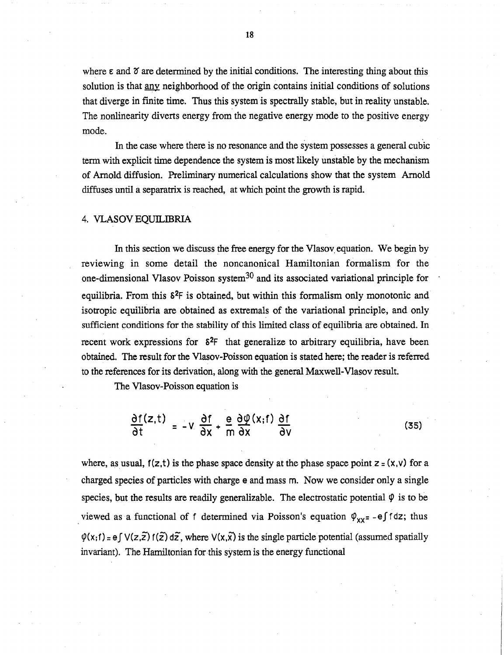where  $\epsilon$  and  $\delta$  are determined by the initial conditions. The interesting thing about this solution is that any neighborhood of the origin contains initial conditions of solutions that diverge in finite time. Thus this system is spectrally stable, but in reality unstable. The nonlinearity diverts energy from the negative energy mode to the positive energy mode.

In the case where there is no resonance and the system possesses a general cubic term with explicit time dependence the system is most likely unstable by the mechanism of Arnold diffusion. Preliminary numerical calculations show that the system Arnold diffuses until a separatrix is reached, at which point the growth is rapid.

## 4. VLASOV EQUILmRIA

In this section we discuss the free energy for the Vlasov equation. We begin by reviewing in some detail the noncanonical Hamiltonian formalism for the one-dimensional Vlasov Poisson system30 and its associated variational principle for equilibria. From this  $\delta^2F$  is obtained, but within this formalism only monotonic and isotropic equilibria are obtained as extremals of the variational principle, and only sufficient conditions for the stability of this limited class of equilibria are obtained. In recent work expressions for  $\delta^2F$  that generalize to arbitrary equilibria, have been obtained. The result for the Vlasov-Poisson equation is stated here; the reader is referred to the references for its derivation, along with the general Maxwell-Vlasov result.

The Vlasov-Poisson equation is

$$
\frac{\partial f(z,t)}{\partial t} = -V \frac{\partial f}{\partial x} + \frac{e}{m} \frac{\partial \varphi(x,t)}{\partial x} \frac{\partial f}{\partial v}
$$
(35)

where, as usual,  $f(z,t)$  is the phase space density at the phase space point  $z = (x,y)$  for a charged species of particles with charge e and mass m. Now we consider only a single species, but the results are readily generalizable. The electrostatic potential  $\varphi$  is to be viewed as a functional of f determined via Poisson's equation  $\varphi_{xx} = -e\int f dz$ ; thus  $\varphi(x;f) = e\int V(z,\tilde{z}) f(\tilde{z}) d\tilde{z}$ , where  $V(x,\tilde{x})$  is the single particle potential (assumed spatially invariant). The Hamiltonian for this system is the energy functional

18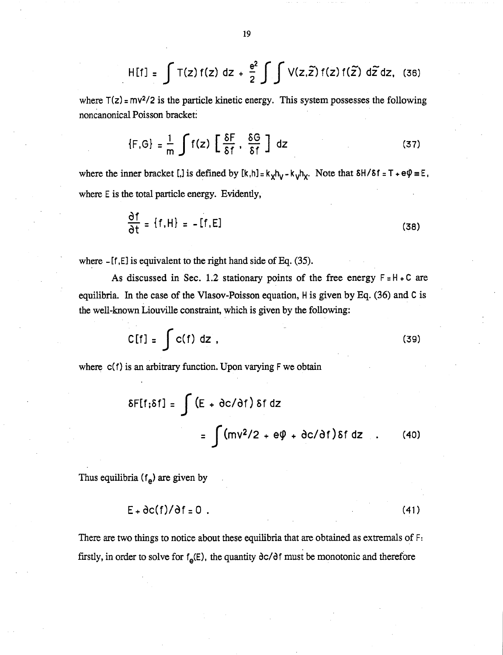$$
H[f] = \int T(z) f(z) dz + \frac{e^2}{2} \int \int V(z, \widetilde{z}) f(z) f(\widetilde{z}) d\widetilde{z} dz, (36)
$$

where  $T(z) = mv^2/2$  is the particle kinetic energy. This system possesses the following noncanonical Poisson bracket:

$$
\{F,G\} = \frac{1}{m} \int f(z) \left[ \frac{\delta F}{\delta f} , \frac{\delta G}{\delta f} \right] dz
$$
 (37)

where the inner bracket [,] is defined by  $[k,h] = k_xh_y - k_yh_x$ . Note that  $\delta H/\delta f = T + e\psi \equiv E$ . where E is the total particle energy. Evidently,

$$
\frac{\partial f}{\partial t} = \{f, H\} = -[f, E]
$$
 (38)

where - [f ,E] is equivalent to the right hand side of Eq. (35).

As discussed in Sec. 1.2 stationary points of the free energy  $F = H + C$  are equilibria. In the case of the Vlasov-Poisson equation, H is given by Eq. (36) and C is the well-known Liouville constraint, which is given by the following:

$$
C[f] = \int c(f) dz
$$
 (39)

where  $c(f)$  is an arbitrary function. Upon varying  $F$  we obtain

$$
\delta F[f; \delta f] = \int (E + \partial c/\partial f) \delta f dz
$$
  
= 
$$
\int (mv^2/2 + e\phi + \partial c/\partial f) \delta f dz
$$
 (40)

Thus equilibria  $(f_e)$  are given by

$$
E + \partial c(f)/\partial f = 0
$$
 (41)

There are two things to notice about these equilibria that are obtained as extremals of F: firstly, in order to solve for  $f_e(E)$ , the quantity  $\partial c/\partial f$  must be monotonic and therefore

19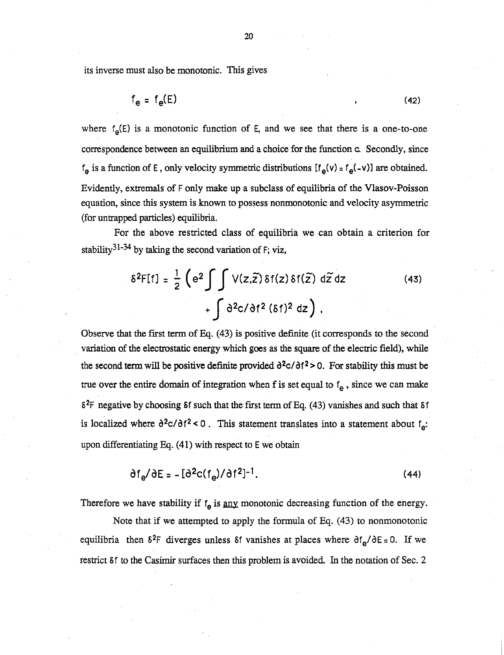its inverse must also be monotonic. This gives

$$
f_e = f_e(E) \tag{42}
$$

where  $f_e(E)$  is a monotonic function of E, and we see that there is a one-to-one correspondence between an equilibrium and a choice for the function c. Secondly, since  $f_e$  is a function of E, only velocity symmetric distributions  $[f_e(v) = f_e(-v)]$  are obtained. Evidently, extremals of F only make up a subclass of equilibria of the Vlasov-Poisson equation, since this system is known to possess nonmonotonic and velocity asymmetric (for untrapped particles) equilibria.

For the above restricted class of equilibria we can obtain a criterion for stability<sup>31-34</sup> by taking the second variation of F; viz,

$$
\delta^{2}F[f] = \frac{1}{2} \left( e^{2} \int \int V(z,\tilde{z}) \delta f(z) \delta f(\tilde{z}) d\tilde{z} dz + \int \delta^{2} c/\delta f^{2} (\delta f)^{2} dz \right),
$$
 (43)

Observe that the fIrst term of Eq. (43) is positive definite (it corresponds to the second variation of the electrostatic energy which goes as the square of the electric field), while the second term will be positive definite provided  $\frac{\partial^2 c}{\partial t^2} > 0$ . For stability this must be true over the entire domain of integration when f is set equal to  $f_e$ , since we can make  $\delta^2$ F negative by choosing  $\delta$ f such that the first term of Eq. (43) vanishes and such that  $\delta$ f is localized where  $\partial^2 c / \partial f^2 < 0$ . This statement translates into a statement about  $f_e$ : upon differentiating Eq. (41) with respect to E we obtain

$$
\partial f_{\mathbf{e}} / \partial E = - \left[ \partial^2 c (f_{\mathbf{e}}) / \partial f^2 \right]^{-1}.
$$
 (44)

Therefore we have stability if  $f_e$  is any monotonic decreasing function of the energy.

Note that if we attempted to apply the formula of Eq. (43) to nonmonotonic equilibria then  $\delta^2$ F diverges unless  $\delta$ f vanishes at places where  $\delta f_{\rm e}/\delta E = 0$ . If we restrict Sf to the Casimir surfaces then this problem is avoided. In the notation of Sec. 2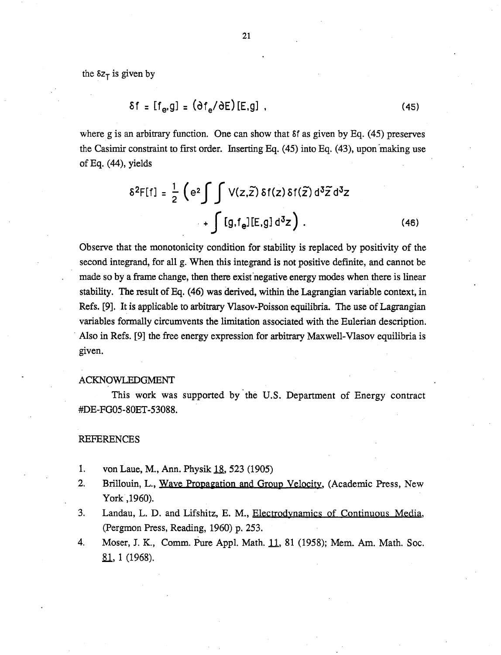the  $\delta z_{\tau}$  is given by

$$
\delta f = [f_e, g] = (\delta f_e / \delta E) [E, g], \qquad (45)
$$

where g is an arbitrary function. One can show that Sf as given by Eq. (45) preserves the Casimir constraint to first order. Inserting Eq.  $(45)$  into Eq.  $(43)$ , upon making use of Eq.  $(44)$ , yields

$$
\delta^{2}F[f] = \frac{1}{2} \left( e^{2} \int \int V(z,\tilde{z}) \delta f(z) \delta f(\tilde{z}) d^{3} \tilde{z} d^{3}z + \int [g,f_{e}][E,g] d^{3}z \right).
$$
 (46)

Observe that the monotonicity condition for stability is replaced by positivity of the second integrand, for all g. When this integrand is not positive definite, and cannot be made so by a frame change, then there exist negative energy modes when there is linear stability. The result of Eq. (46) was derived, within the Lagrangian variable context, in Refs. [9]. It is applicable to arbitrary Vlasov-Poisson equilibria. The use of Lagrangian variables formally circumvents the limitation associated with the Eulerian description . . Also in Refs. [9] the free energy expression for arbitrary Maxwell-Vlasov equilibria is given.

#### ACKNOWLEDGMENT

This work was supported by the U.S. Department of Energy contract #DE-FG05-80ET -53088.

#### REFERENCES

- 1. von Laue, M., Ann. Physik 18, 523 (1905)
- 2. Brillouin, L., Wave Propagation and Group Velocity, (Academic Press, New York , 1960).
- 3. Landau, L. D. and Lifshitz, E. M., Electrodynamics of Continuous Media, (Pergmon Press, Reading, 1960) p. 253.
- 4. Moser, J. K., Comm. Pure Appl. Math. 11, 81 (1958); Mem. Am. Math. Soc. <u>81</u>, 1 (1968).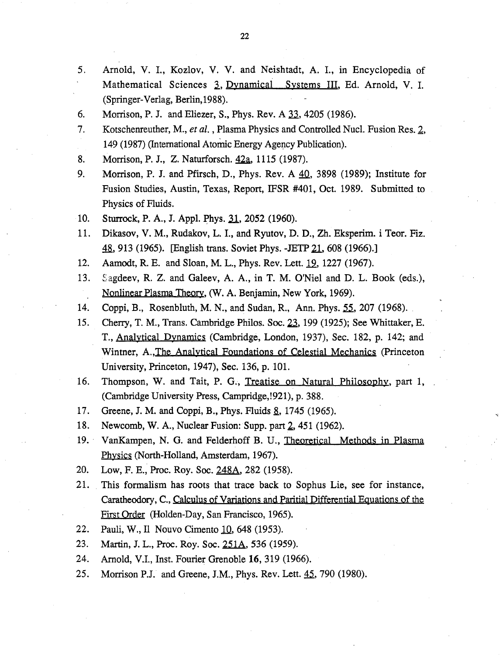- 5. Arnold, V. 1., Kozlov, V. V. and Neishtadt, A. I., in Encyclopedia of Mathematical Sciences 3, Dynamical Systems III, Ed. Arnold, V. I. (Springer-Verlag, Berlin, 1988).
- 6. Morrison, P. J. and Eliezer, S., Phys. Rev. A 33, 4205 (1986).
- 7. Kotschenreuther, M., *et al.*, Plasma Physics and Controlled Nucl. Fusion Res. 2, 149 (1987) (International Atomic Energy Agency Publication).
- 8. Morrison, P. J., Z. Naturforsch. 42a, 1115 (1987).
- 9. Morrison, P. J. and Pfirsch, D., Phys. Rev. A  $\overline{40}$ , 3898 (1989); Institute for Fusion Studies, Austin, Texas, Report, IFSR #401, Oct. 1989. Submitted to Physics of Fluids.
- 10. Sturrock, P. A., J. Appl. Phys. 31, 2052 (1960).
- 11. Dikasov, V. M., Rudakov, L. I., and Ryutov, D. D., Zh. Eksperim. i Teor. Fiz. 48, 913 (1965). [English trans. Soviet Phys. -JETP 21, 608 (1966).]
- 12. Aamodt, R. E. and Sloan, M. L., Phys. Rev. Lett. 19, 1227 (1967).
- 13. Sagdeev, R. Z. and Galeev, A. A., in T. M. O'Niel and D. L. Book (eds.), Nonlinear Plasma Theory, (W. A. Benjamin, New York, 1969).
- 14. Coppi, B., Rosenbluth, M. N., and Sudan, R., Ann. Phys. 55, 207 (1968).
- 15. Cherry, T. M., Trans. Cambridge Philos. Soc. 23, 199 (1925); See Whittaker, E. T., Analytical Dynamics (Cambridge, London, 1937), Sec. 182, p. 142; and Wintner, A.,The Analytical Foundations of Celestial Mechanics (Princeton University, Princeton, 1947), Sec. 136, p. 101.
- 16. Thompson, W. and Tait, P. G., Treatise on Natural Philosophy, part 1, (Cambridge University Press, Campridge,!921), p. 388.
- 17. Greene, J. M. and Coppi, B., Phys. Fluids 8, 1745 (1965).
- 18. Newcomb, W. A., Nuclear Fusion: Supp. part 2, 451 (1962).
- 19.· VanKampen, N. G. and Felderhoff B. U., Theoretical Methods in Plasma Physics (North-Holland, Amsterdam, 1967).
- 20. Low, F. E., Proc. Roy. Soc. 248A, 282 (1958).
- 21. This formalism has roots that trace back to Sophus Lie, see for instance, Caratheodory, C., Calculus of variations and Paritial Differential Equations of the First Order (Holden-Day, San Francisco, 1965).
- 22. Pauli, W., Il Nouvo Cimento 10, 648 (1953).
- 23. Martin, 1. L., Proc. Roy. Soc. 251A, 536 (1959).
- 24. Arnold, V.I., Inst. Fourier Grenoble 16, 319 (1966).
- 25. Morrison P.J. and Greene, J.M., Phys. Rev. Lett. 45, 790 (1980).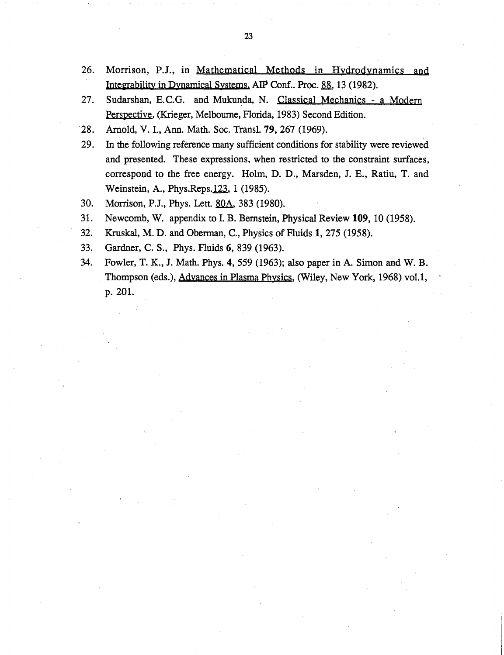- 26. Morrison, P.I., in Mathematical Methods in Hydrodynamics and Integrability in Dynamical Systems. AIP Conf.. Proc. 88, 13 (1982).
- 27. Sudarshan, E.C.G. and Mukunda, N. Classical Mechanics a Modern Perspective. (Krieger, Melbourne, Florida, 1983) Second Edition.
- 28. Arnold, V. 1., Ann. Math. Soc. Trans1. 79, 267 (1969).
- 29. In the following reference many sufficient conditions for stability were reviewed and presented. These expressions, when restricted to the constraint surfaces, correspond to the free energy. Holm, D. D., Marsden, I. E., Ratiu, T. and Weinstein, A., Phys.Reps.123, 1 (1985).
- 30. Morrison, P.J., Phys. Lett. 80A, 383 (1980).
- 31. Newcomb, W. appendix to 1. B. Bernstein, Physical Review 109, 10 (1958).
- 32. Kruskal, M. D. and Obennan, C., Physics of Fluids 1, 275 (1958).
- 33. Gardner, C. S., Phys. Fluids 6, 839 (1963).
- 34. Fowler, T. K., J. Math. Phys. 4, 559 (1963); also paper in A. Simon and W. B. . Thompson (eds.), Advances in Plasma Physics, (Wiley, New York, 1968) vo1.1, p. 201.